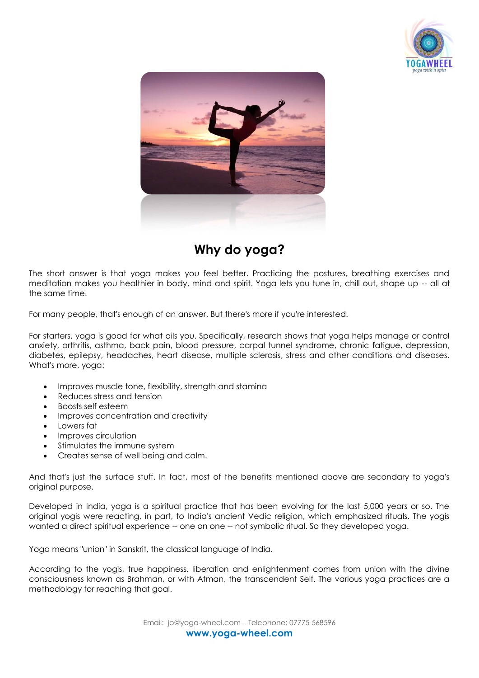



## **Why do yoga?**

The short answer is that yoga makes you feel better. Practicing the postures, breathing exercises and meditation makes you healthier in body, mind and spirit. Yoga lets you tune in, chill out, shape up -- all at the same time.

For many people, that's enough of an answer. But there's more if you're interested.

For starters, yoga is good for what ails you. Specifically, research shows that yoga helps manage or control anxiety, arthritis, asthma, back pain, blood pressure, carpal tunnel syndrome, chronic fatigue, depression, diabetes, epilepsy, headaches, heart disease, multiple sclerosis, stress and other conditions and diseases. What's more, yoga:

- Improves muscle tone, flexibility, strength and stamina
- Reduces stress and tension
- Boosts self esteem
- Improves concentration and creativity
- Lowers fat
- Improves circulation
- Stimulates the immune system
- Creates sense of well being and calm.

And that's just the surface stuff. In fact, most of the benefits mentioned above are secondary to yoga's original purpose.

Developed in India, yoga is a spiritual practice that has been evolving for the last 5,000 years or so. The original yogis were reacting, in part, to India's ancient Vedic religion, which emphasized rituals. The yogis wanted a direct spiritual experience -- one on one -- not symbolic ritual. So they developed yoga.

Yoga means "union" in Sanskrit, the classical language of India.

According to the yogis, true happiness, liberation and enlightenment comes from union with the divine consciousness known as Brahman, or with Atman, the transcendent Self. The various yoga practices are a methodology for reaching that goal.

> Email: jo@yoga-wheel.com – Telephone: 07775 568596 **www.yoga-wheel.com**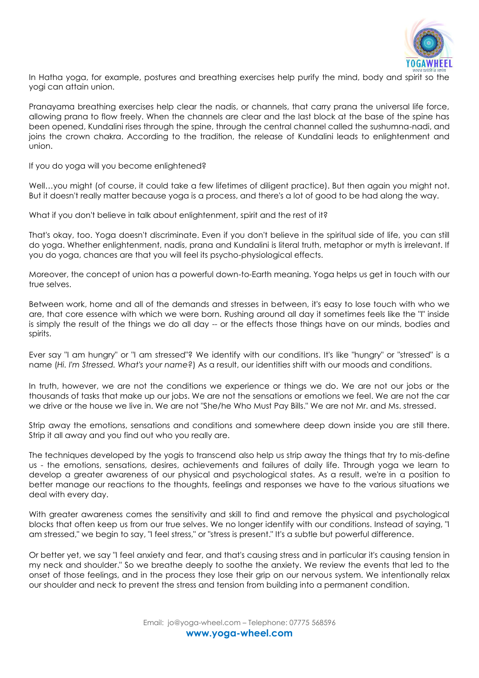

In Hatha yoga, for example, postures and breathing exercises help purify the mind, body and spirit so the yogi can attain union.

Pranayama breathing exercises help clear the nadis, or channels, that carry prana the universal life force, allowing prana to flow freely. When the channels are clear and the last block at the base of the spine has been opened, Kundalini rises through the spine, through the central channel called the sushumna-nadi, and joins the crown chakra. According to the tradition, the release of Kundalini leads to enlightenment and union.

If you do yoga will you become enlightened?

Well...you might (of course, it could take a few lifetimes of diligent practice). But then again you might not. But it doesn't really matter because yoga is a process, and there's a lot of good to be had along the way.

What if you don't believe in talk about enlightenment, spirit and the rest of it?

That's okay, too. Yoga doesn't discriminate. Even if you don't believe in the spiritual side of life, you can still do yoga. Whether enlightenment, nadis, prana and Kundalini is literal truth, metaphor or myth is irrelevant. If you do yoga, chances are that you will feel its psycho-physiological effects.

Moreover, the concept of union has a powerful down-to-Earth meaning. Yoga helps us get in touch with our true selves.

Between work, home and all of the demands and stresses in between, it's easy to lose touch with who we are, that core essence with which we were born. Rushing around all day it sometimes feels like the "I" inside is simply the result of the things we do all day -- or the effects those things have on our minds, bodies and spirits.

Ever say "I am hungry" or "I am stressed"? We identify with our conditions. It's like "hungry" or "stressed" is a name (*Hi. I'm Stressed. What's your name?*) As a result, our identities shift with our moods and conditions.

In truth, however, we are not the conditions we experience or things we do. We are not our jobs or the thousands of tasks that make up our jobs. We are not the sensations or emotions we feel. We are not the car we drive or the house we live in. We are not "She/he Who Must Pay Bills." We are not Mr. and Ms. stressed.

Strip away the emotions, sensations and conditions and somewhere deep down inside you are still there. Strip it all away and you find out who you really are.

The techniques developed by the yogis to transcend also help us strip away the things that try to mis-define us - the emotions, sensations, desires, achievements and failures of daily life. Through yoga we learn to develop a greater awareness of our physical and psychological states. As a result, we're in a position to better manage our reactions to the thoughts, feelings and responses we have to the various situations we deal with every day.

With greater awareness comes the sensitivity and skill to find and remove the physical and psychological blocks that often keep us from our true selves. We no longer identify with our conditions. Instead of saying, "I am stressed," we begin to say, "I feel stress," or "stress is present." It's a subtle but powerful difference.

Or better yet, we say "I feel anxiety and fear, and that's causing stress and in particular it's causing tension in my neck and shoulder." So we breathe deeply to soothe the anxiety. We review the events that led to the onset of those feelings, and in the process they lose their grip on our nervous system. We intentionally relax our shoulder and neck to prevent the stress and tension from building into a permanent condition.